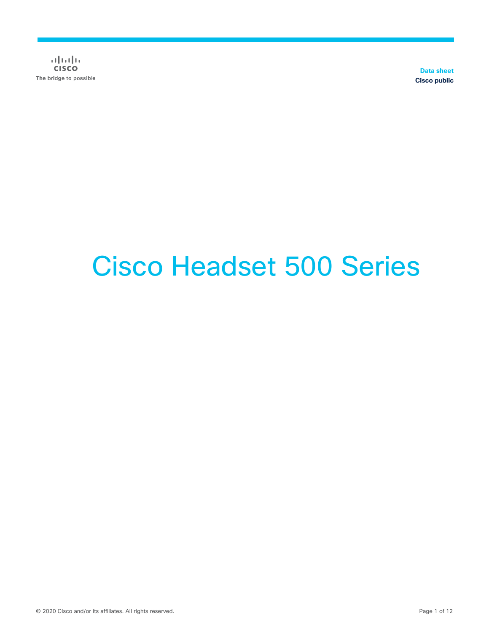$\alpha$  [  $\alpha$  ]  $\alpha$ **CISCO** The bridge to possible

**Data sheet Cisco public**

# Cisco Headset 500 Series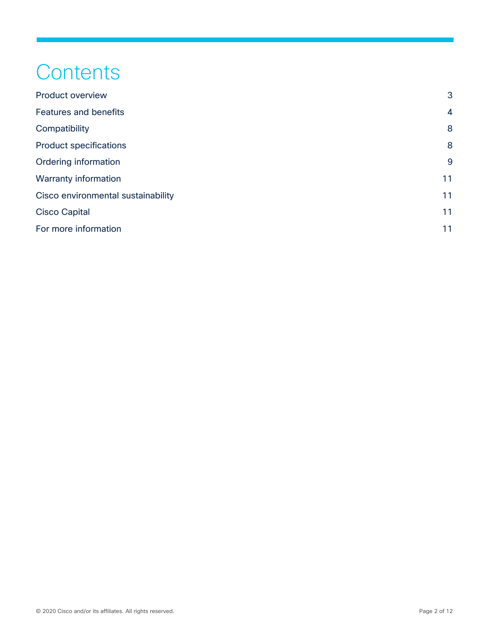## **Contents**

| <b>Product overview</b>            | 3              |
|------------------------------------|----------------|
| <b>Features and benefits</b>       | $\overline{4}$ |
| Compatibility                      | 8              |
| <b>Product specifications</b>      | 8              |
| Ordering information               | 9              |
| Warranty information               | 11             |
| Cisco environmental sustainability | 11             |
| <b>Cisco Capital</b>               | 11             |
| For more information               | 11             |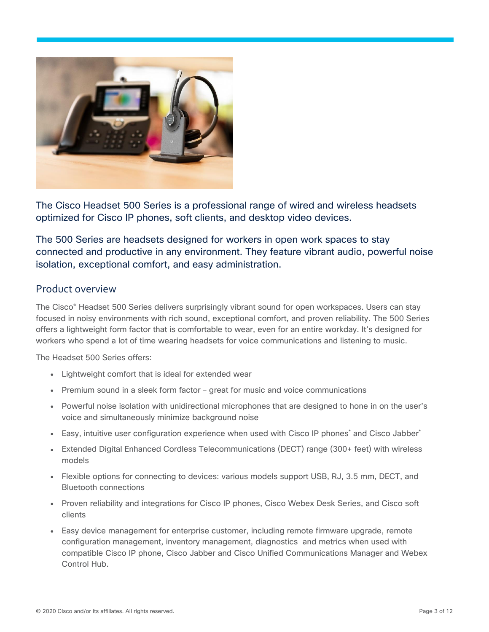

The Cisco Headset 500 Series is a professional range of wired and wireless headsets optimized for Cisco IP phones, soft clients, and desktop video devices.

The 500 Series are headsets designed for workers in open work spaces to stay connected and productive in any environment. They feature vibrant audio, powerful noise isolation, exceptional comfort, and easy administration.

### <span id="page-2-0"></span>Product overview

The Cisco® Headset 500 Series delivers surprisingly vibrant sound for open workspaces. Users can stay focused in noisy environments with rich sound, exceptional comfort, and proven reliability. The 500 Series offers a lightweight form factor that is comfortable to wear, even for an entire workday. It's designed for workers who spend a lot of time wearing headsets for voice communications and listening to music.

The Headset 500 Series offers:

- Lightweight comfort that is ideal for extended wear
- Premium sound in a sleek form factor great for music and voice communications
- Powerful noise isolation with unidirectional microphones that are designed to hone in on the user's voice and simultaneously minimize background noise
- Easy, intuitive user configuration experience when used with Cisco IP phones\* and Cisco Jabber\*
- Extended Digital Enhanced Cordless Telecommunications (DECT) range (300+ feet) with wireless models
- Flexible options for connecting to devices: various models support USB, RJ, 3.5 mm, DECT, and Bluetooth connections
- Proven reliability and integrations for Cisco IP phones, Cisco Webex Desk Series, and Cisco soft clients
- Easy device management for enterprise customer, including remote firmware upgrade, remote configuration management, inventory management, diagnostics and metrics when used with compatible Cisco IP phone, Cisco Jabber and Cisco Unified Communications Manager and Webex Control Hub.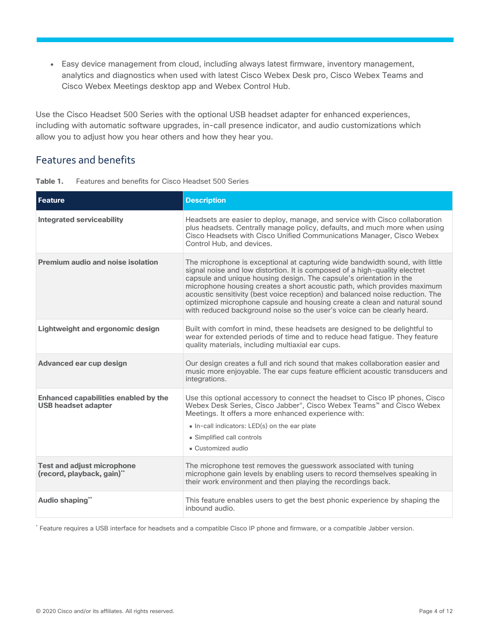• Easy device management from cloud, including always latest firmware, inventory management, analytics and diagnostics when used with latest Cisco Webex Desk pro, Cisco Webex Teams and Cisco Webex Meetings desktop app and Webex Control Hub.

Use the Cisco Headset 500 Series with the optional USB headset adapter for enhanced experiences, including with automatic software upgrades, in-call presence indicator, and audio customizations which allow you to adjust how you hear others and how they hear you.

### <span id="page-3-0"></span>Features and benefits

| Table 1.<br>Features and benefits for Cisco Headset 500 Series |  |
|----------------------------------------------------------------|--|
|----------------------------------------------------------------|--|

| Feature                                                            | <b>Description</b>                                                                                                                                                                                                                                                                                                                                                                                                                                                                                                                                     |
|--------------------------------------------------------------------|--------------------------------------------------------------------------------------------------------------------------------------------------------------------------------------------------------------------------------------------------------------------------------------------------------------------------------------------------------------------------------------------------------------------------------------------------------------------------------------------------------------------------------------------------------|
| <b>Integrated serviceability</b>                                   | Headsets are easier to deploy, manage, and service with Cisco collaboration<br>plus headsets. Centrally manage policy, defaults, and much more when using<br>Cisco Headsets with Cisco Unified Communications Manager, Cisco Webex<br>Control Hub, and devices.                                                                                                                                                                                                                                                                                        |
| Premium audio and noise isolation                                  | The microphone is exceptional at capturing wide bandwidth sound, with little<br>signal noise and low distortion. It is composed of a high-quality electret<br>capsule and unique housing design. The capsule's orientation in the<br>microphone housing creates a short acoustic path, which provides maximum<br>acoustic sensitivity (best voice reception) and balanced noise reduction. The<br>optimized microphone capsule and housing create a clean and natural sound<br>with reduced background noise so the user's voice can be clearly heard. |
| <b>Lightweight and ergonomic design</b>                            | Built with comfort in mind, these headsets are designed to be delightful to<br>wear for extended periods of time and to reduce head fatigue. They feature<br>quality materials, including multiaxial ear cups.                                                                                                                                                                                                                                                                                                                                         |
| Advanced ear cup design                                            | Our design creates a full and rich sound that makes collaboration easier and<br>music more enjoyable. The ear cups feature efficient acoustic transducers and<br>integrations.                                                                                                                                                                                                                                                                                                                                                                         |
| Enhanced capabilities enabled by the<br><b>USB headset adapter</b> | Use this optional accessory to connect the headset to Cisco IP phones, Cisco<br>Webex Desk Series, Cisco Jabber <sup>®</sup> , Cisco Webex Teams <sup>™</sup> and Cisco Webex<br>Meetings. It offers a more enhanced experience with:<br>$\bullet$ In-call indicators: LED(s) on the ear plate<br>• Simplified call controls<br>• Customized audio                                                                                                                                                                                                     |
| <b>Test and adjust microphone</b><br>(record, playback, gain)"     | The microphone test removes the guesswork associated with tuning<br>microphone gain levels by enabling users to record themselves speaking in<br>their work environment and then playing the recordings back.                                                                                                                                                                                                                                                                                                                                          |
| Audio shaping"                                                     | This feature enables users to get the best phonic experience by shaping the<br>inbound audio.                                                                                                                                                                                                                                                                                                                                                                                                                                                          |

\* Feature requires a USB interface for headsets and a compatible Cisco IP phone and firmware, or a compatible Jabber version.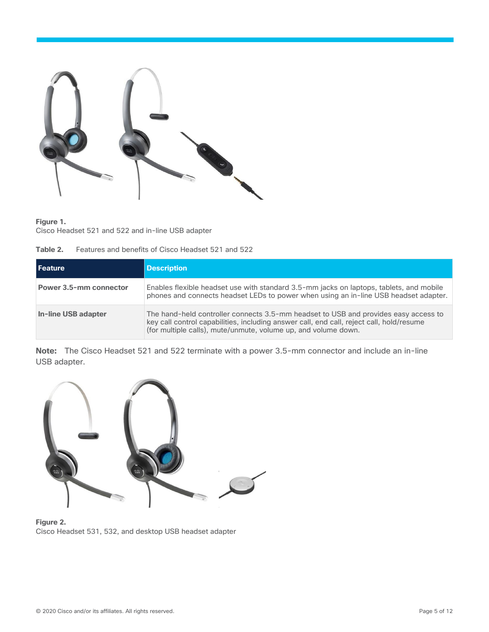

#### **Figure 1.**

Cisco Headset 521 and 522 and in-line USB adapter

| Table 2. |  |  | Features and benefits of Cisco Headset 521 and 522 |  |  |
|----------|--|--|----------------------------------------------------|--|--|
|----------|--|--|----------------------------------------------------|--|--|

| l Feature                     | <b>Description</b>                                                                                                                                                                                                                                |
|-------------------------------|---------------------------------------------------------------------------------------------------------------------------------------------------------------------------------------------------------------------------------------------------|
| <b>Power 3.5-mm connector</b> | Enables flexible headset use with standard 3.5-mm jacks on laptops, tablets, and mobile<br>phones and connects headset LEDs to power when using an in-line USB headset adapter.                                                                   |
| In-line USB adapter           | The hand-held controller connects 3.5-mm headset to USB and provides easy access to<br>key call control capabilities, including answer call, end call, reject call, hold/resume<br>(for multiple calls), mute/unmute, volume up, and volume down. |

**Note:** The Cisco Headset 521 and 522 terminate with a power 3.5-mm connector and include an in-line USB adapter.



**Figure 2.**  Cisco Headset 531, 532, and desktop USB headset adapter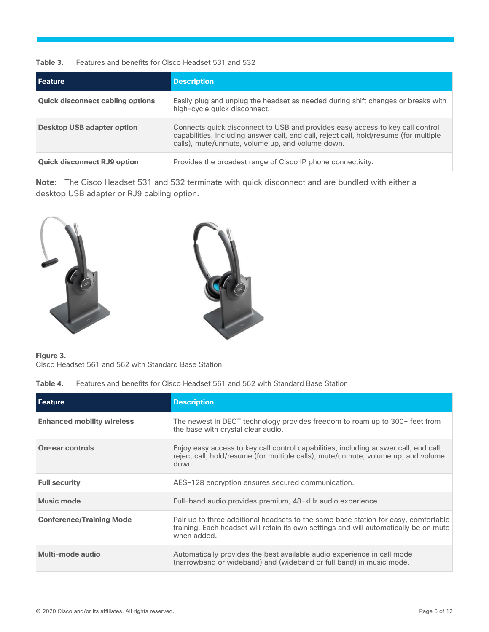**Table 3.** Features and benefits for Cisco Headset 531 and 532

| l Feature                               | <b>Description</b>                                                                                                                                                                                                         |
|-----------------------------------------|----------------------------------------------------------------------------------------------------------------------------------------------------------------------------------------------------------------------------|
| <b>Quick disconnect cabling options</b> | Easily plug and unplug the headset as needed during shift changes or breaks with<br>high-cycle quick disconnect.                                                                                                           |
| <b>Desktop USB adapter option</b>       | Connects quick disconnect to USB and provides easy access to key call control<br>capabilities, including answer call, end call, reject call, hold/resume (for multiple<br>calls), mute/unmute, volume up, and volume down. |
| <b>Quick disconnect RJ9 option</b>      | Provides the broadest range of Cisco IP phone connectivity.                                                                                                                                                                |

**Note:** The Cisco Headset 531 and 532 terminate with quick disconnect and are bundled with either a desktop USB adapter or RJ9 cabling option.





**Figure 3.**  Cisco Headset 561 and 562 with Standard Base Station

**Table 4.** Features and benefits for Cisco Headset 561 and 562 with Standard Base Station

| <b>Feature</b>                    | <b>Description</b>                                                                                                                                                                          |
|-----------------------------------|---------------------------------------------------------------------------------------------------------------------------------------------------------------------------------------------|
| <b>Enhanced mobility wireless</b> | The newest in DECT technology provides freedom to roam up to 300+ feet from<br>the base with crystal clear audio.                                                                           |
| <b>On-ear controls</b>            | Enjoy easy access to key call control capabilities, including answer call, end call,<br>reject call, hold/resume (for multiple calls), mute/unmute, volume up, and volume<br>down.          |
| <b>Full security</b>              | AES-128 encryption ensures secured communication.                                                                                                                                           |
| <b>Music mode</b>                 | Full-band audio provides premium, 48-kHz audio experience.                                                                                                                                  |
| <b>Conference/Training Mode</b>   | Pair up to three additional headsets to the same base station for easy, comfortable<br>training. Each headset will retain its own settings and will automatically be on mute<br>when added. |
| Multi-mode audio                  | Automatically provides the best available audio experience in call mode<br>(narrowband or wideband) and (wideband or full band) in music mode.                                              |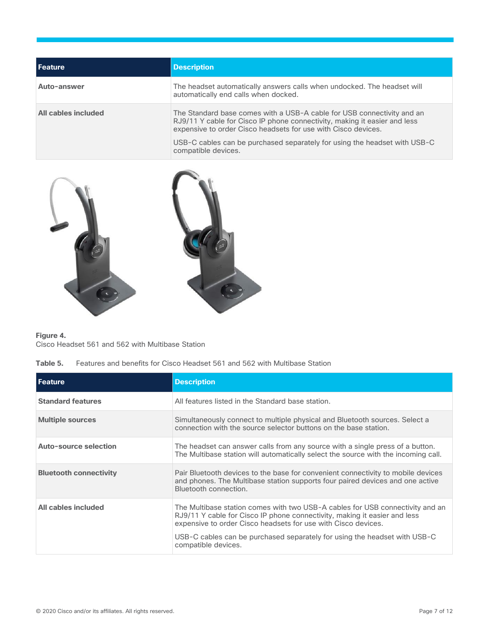| l Feature           | <b>Description</b>                                                                                                                                                                                                   |
|---------------------|----------------------------------------------------------------------------------------------------------------------------------------------------------------------------------------------------------------------|
| Auto-answer         | The headset automatically answers calls when undocked. The headset will<br>automatically end calls when docked.                                                                                                      |
| All cables included | The Standard base comes with a USB-A cable for USB connectivity and an<br>RJ9/11 Y cable for Cisco IP phone connectivity, making it easier and less<br>expensive to order Cisco headsets for use with Cisco devices. |
|                     | USB-C cables can be purchased separately for using the headset with USB-C<br>compatible devices.                                                                                                                     |



#### **Figure 4.**  Cisco Headset 561 and 562 with Multibase Station

|--|

| <b>Feature</b>                | <b>Description</b>                                                                                                                                                                                                                                                                                                              |
|-------------------------------|---------------------------------------------------------------------------------------------------------------------------------------------------------------------------------------------------------------------------------------------------------------------------------------------------------------------------------|
| <b>Standard features</b>      | All features listed in the Standard base station.                                                                                                                                                                                                                                                                               |
| <b>Multiple sources</b>       | Simultaneously connect to multiple physical and Bluetooth sources. Select a<br>connection with the source selector buttons on the base station.                                                                                                                                                                                 |
| <b>Auto-source selection</b>  | The headset can answer calls from any source with a single press of a button.<br>The Multibase station will automatically select the source with the incoming call.                                                                                                                                                             |
| <b>Bluetooth connectivity</b> | Pair Bluetooth devices to the base for convenient connectivity to mobile devices<br>and phones. The Multibase station supports four paired devices and one active<br>Bluetooth connection.                                                                                                                                      |
| All cables included           | The Multibase station comes with two USB-A cables for USB connectivity and an<br>RJ9/11 Y cable for Cisco IP phone connectivity, making it easier and less<br>expensive to order Cisco headsets for use with Cisco devices.<br>USB-C cables can be purchased separately for using the headset with USB-C<br>compatible devices. |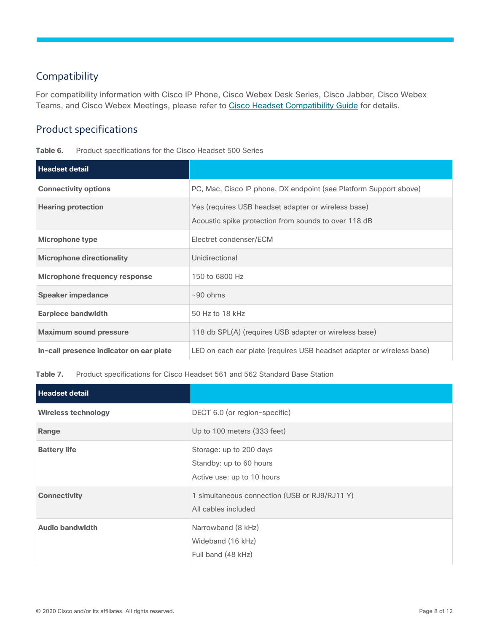### <span id="page-7-0"></span>Compatibility

For compatibility information with Cisco IP Phone, Cisco Webex Desk Series, Cisco Jabber, Cisco Webex Teams, and Cisco Webex Meetings, please refer to [Cisco Headset Compatibility Guide](https://www.cisco.com/c/en/us/td/docs/voice_ip_comm/cuipph/Headsets/Compatibility_Guide/n500_b_headset-compatibility.html) for details.

### <span id="page-7-1"></span>Product specifications

Table 6. Product specifications for the Cisco Headset 500 Series

| <b>Headset detail</b>                   |                                                                                                             |
|-----------------------------------------|-------------------------------------------------------------------------------------------------------------|
| <b>Connectivity options</b>             | PC, Mac, Cisco IP phone, DX endpoint (see Platform Support above)                                           |
| <b>Hearing protection</b>               | Yes (requires USB headset adapter or wireless base)<br>Acoustic spike protection from sounds to over 118 dB |
| Microphone type                         | Electret condenser/ECM                                                                                      |
| <b>Microphone directionality</b>        | Unidirectional                                                                                              |
| Microphone frequency response           | 150 to 6800 Hz                                                                                              |
| <b>Speaker impedance</b>                | $~100$ ohms                                                                                                 |
| <b>Earpiece bandwidth</b>               | 50 Hz to 18 kHz                                                                                             |
| <b>Maximum sound pressure</b>           | 118 db SPL(A) (requires USB adapter or wireless base)                                                       |
| In-call presence indicator on ear plate | LED on each ear plate (requires USB headset adapter or wireless base)                                       |

**Table 7.** Product specifications for Cisco Headset 561 and 562 Standard Base Station

| <b>Headset detail</b>      |                                                                                  |
|----------------------------|----------------------------------------------------------------------------------|
| <b>Wireless technology</b> | DECT 6.0 (or region-specific)                                                    |
| Range                      | Up to 100 meters (333 feet)                                                      |
| <b>Battery life</b>        | Storage: up to 200 days<br>Standby: up to 60 hours<br>Active use: up to 10 hours |
| <b>Connectivity</b>        | 1 simultaneous connection (USB or RJ9/RJ11 Y)<br>All cables included             |
| <b>Audio bandwidth</b>     | Narrowband (8 kHz)<br>Wideband (16 kHz)<br>Full band (48 kHz)                    |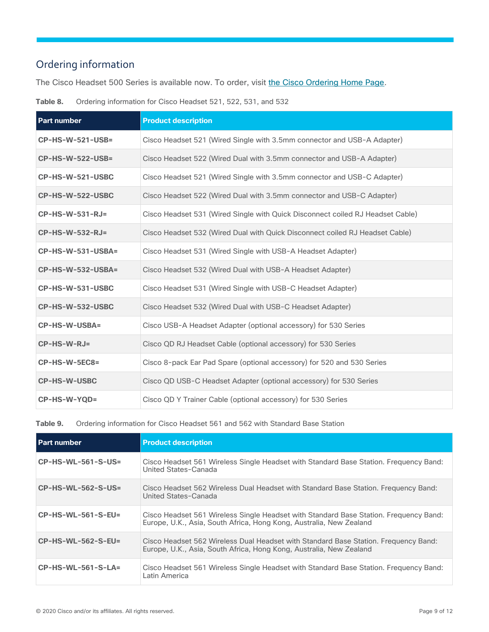### <span id="page-8-0"></span>Ordering information

The Cisco Headset 500 Series is available now. To order, visit [the Cisco Ordering Home Page.](https://www.cisco.com/c/en/us/buy.html)

| Table 8. | Ordering information for Cisco Headset 521, 522, 531, and 532 |  |  |  |  |
|----------|---------------------------------------------------------------|--|--|--|--|

| <b>Part number</b>      | <b>Product description</b>                                                     |
|-------------------------|--------------------------------------------------------------------------------|
| <b>CP-HS-W-521-USB=</b> | Cisco Headset 521 (Wired Single with 3.5mm connector and USB-A Adapter)        |
| <b>CP-HS-W-522-USB=</b> | Cisco Headset 522 (Wired Dual with 3.5mm connector and USB-A Adapter)          |
| CP-HS-W-521-USBC        | Cisco Headset 521 (Wired Single with 3.5mm connector and USB-C Adapter)        |
| CP-HS-W-522-USBC        | Cisco Headset 522 (Wired Dual with 3.5mm connector and USB-C Adapter)          |
| $CP$ -HS-W-531-RJ=      | Cisco Headset 531 (Wired Single with Quick Disconnect coiled RJ Headset Cable) |
| $CP$ -HS-W-532-RJ=      | Cisco Headset 532 (Wired Dual with Quick Disconnect coiled RJ Headset Cable)   |
| CP-HS-W-531-USBA=       | Cisco Headset 531 (Wired Single with USB-A Headset Adapter)                    |
| CP-HS-W-532-USBA=       | Cisco Headset 532 (Wired Dual with USB-A Headset Adapter)                      |
| CP-HS-W-531-USBC        | Cisco Headset 531 (Wired Single with USB-C Headset Adapter)                    |
| CP-HS-W-532-USBC        | Cisco Headset 532 (Wired Dual with USB-C Headset Adapter)                      |
| <b>CP-HS-W-USBA=</b>    | Cisco USB-A Headset Adapter (optional accessory) for 530 Series                |
| CP-HS-W-RJ=             | Cisco QD RJ Headset Cable (optional accessory) for 530 Series                  |
| CP-HS-W-5EC8=           | Cisco 8-pack Ear Pad Spare (optional accessory) for 520 and 530 Series         |
| <b>CP-HS-W-USBC</b>     | Cisco QD USB-C Headset Adapter (optional accessory) for 530 Series             |
| CP-HS-W-YQD=            | Cisco QD Y Trainer Cable (optional accessory) for 530 Series                   |

**Table 9.** Ordering information for Cisco Headset 561 and 562 with Standard Base Station

| l Part number             | <b>Product description</b>                                                                                                                                   |
|---------------------------|--------------------------------------------------------------------------------------------------------------------------------------------------------------|
| <b>CP-HS-WL-561-S-US=</b> | Cisco Headset 561 Wireless Single Headset with Standard Base Station. Frequency Band:<br>United States-Canada                                                |
| <b>CP-HS-WL-562-S-US=</b> | Cisco Headset 562 Wireless Dual Headset with Standard Base Station. Frequency Band:<br>United States-Canada                                                  |
| $CP$ -HS-WL-561-S-EU=     | Cisco Headset 561 Wireless Single Headset with Standard Base Station. Frequency Band:<br>Europe, U.K., Asia, South Africa, Hong Kong, Australia, New Zealand |
| $CP$ -HS-WL-562-S-EU=     | Cisco Headset 562 Wireless Dual Headset with Standard Base Station. Frequency Band:<br>Europe, U.K., Asia, South Africa, Hong Kong, Australia, New Zealand   |
| $CP$ -HS-WL-561-S-LA=     | Cisco Headset 561 Wireless Single Headset with Standard Base Station. Frequency Band:<br>Latin America                                                       |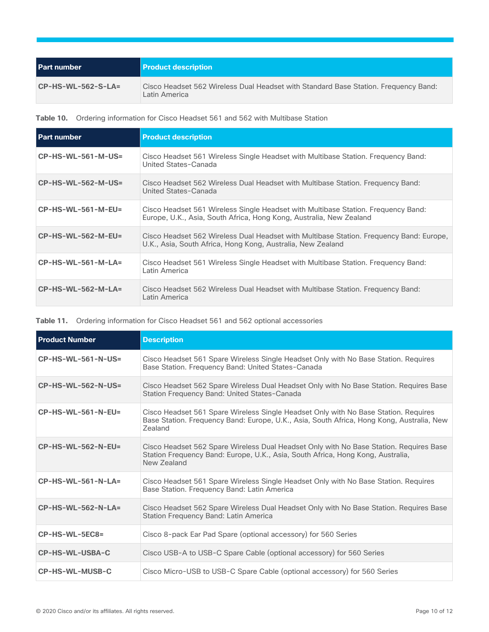| <b>Part number</b>    | <b>Product description</b>                                                                           |
|-----------------------|------------------------------------------------------------------------------------------------------|
| $CP$ -HS-WL-562-S-LA= | Cisco Headset 562 Wireless Dual Headset with Standard Base Station. Frequency Band:<br>Latin America |

**Table 10.** Ordering information for Cisco Headset 561 and 562 with Multibase Station

| <b>Part number</b>        | <b>Product description</b>                                                                                                                               |
|---------------------------|----------------------------------------------------------------------------------------------------------------------------------------------------------|
| $CP$ -HS-WL-561-M-US=     | Cisco Headset 561 Wireless Single Headset with Multibase Station. Frequency Band:<br>United States-Canada                                                |
| <b>CP-HS-WL-562-M-US=</b> | Cisco Headset 562 Wireless Dual Headset with Multibase Station. Frequency Band:<br>United States-Canada                                                  |
| $CP$ -HS-WL-561-M-EU=     | Cisco Headset 561 Wireless Single Headset with Multibase Station. Frequency Band:<br>Europe, U.K., Asia, South Africa, Hong Kong, Australia, New Zealand |
| $CP$ -HS-WL-562-M-EU=     | Cisco Headset 562 Wireless Dual Headset with Multibase Station. Frequency Band: Europe,<br>U.K., Asia, South Africa, Hong Kong, Australia, New Zealand   |
| $CP$ -HS-WL-561-M-LA=     | Cisco Headset 561 Wireless Single Headset with Multibase Station. Frequency Band:<br>Latin America                                                       |
| $CP$ -HS-WL-562-M-LA=     | Cisco Headset 562 Wireless Dual Headset with Multibase Station. Frequency Band:<br>Latin America                                                         |

**Table 11.** Ordering information for Cisco Headset 561 and 562 optional accessories

| <b>Product Number</b>     | <b>Description</b>                                                                                                                                                                          |
|---------------------------|---------------------------------------------------------------------------------------------------------------------------------------------------------------------------------------------|
| <b>CP-HS-WL-561-N-US=</b> | Cisco Headset 561 Spare Wireless Single Headset Only with No Base Station. Requires<br>Base Station. Frequency Band: United States-Canada                                                   |
| <b>CP-HS-WL-562-N-US=</b> | Cisco Headset 562 Spare Wireless Dual Headset Only with No Base Station. Requires Base<br>Station Frequency Band: United States-Canada                                                      |
| $CP$ -HS-WL-561-N-EU=     | Cisco Headset 561 Spare Wireless Single Headset Only with No Base Station. Requires<br>Base Station. Frequency Band: Europe, U.K., Asia, South Africa, Hong Kong, Australia, New<br>Zealand |
| <b>CP-HS-WL-562-N-EU=</b> | Cisco Headset 562 Spare Wireless Dual Headset Only with No Base Station. Requires Base<br>Station Frequency Band: Europe, U.K., Asia, South Africa, Hong Kong, Australia,<br>New Zealand    |
| $CP$ -HS-WL-561-N-LA=     | Cisco Headset 561 Spare Wireless Single Headset Only with No Base Station. Requires<br>Base Station. Frequency Band: Latin America                                                          |
| <b>CP-HS-WL-562-N-LA=</b> | Cisco Headset 562 Spare Wireless Dual Headset Only with No Base Station. Requires Base<br>Station Frequency Band: Latin America                                                             |
| CP-HS-WL-5EC8=            | Cisco 8-pack Ear Pad Spare (optional accessory) for 560 Series                                                                                                                              |
| <b>CP-HS-WL-USBA-C</b>    | Cisco USB-A to USB-C Spare Cable (optional accessory) for 560 Series                                                                                                                        |
| <b>CP-HS-WL-MUSB-C</b>    | Cisco Micro-USB to USB-C Spare Cable (optional accessory) for 560 Series                                                                                                                    |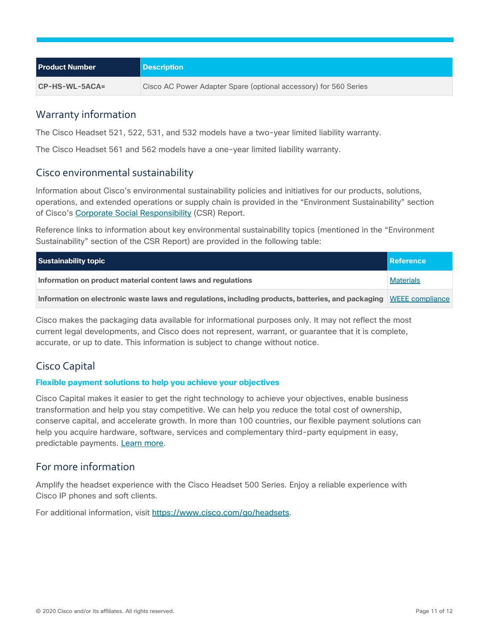| <b>Product Number</b> | <b>Description</b>                                               |
|-----------------------|------------------------------------------------------------------|
| CP-HS-WL-5ACA=        | Cisco AC Power Adapter Spare (optional accessory) for 560 Series |

### <span id="page-10-0"></span>Warranty information

The Cisco Headset 521, 522, 531, and 532 models have a two-year limited liability warranty.

The Cisco Headset 561 and 562 models have a one-year limited liability warranty.

### <span id="page-10-1"></span>Cisco environmental sustainability

Information about Cisco's environmental sustainability policies and initiatives for our products, solutions, operations, and extended operations or supply chain is provided in the "Environment Sustainability" section of Cisco's [Corporate Social Responsibility](https://www-1.compliance2product.com/c2p/getAttachment.do?code=YM6Y0yThdO6Wj1FxxYPYfUG2dtFkTeFWGpzLRO8tcURFEifUCRV403Tq2ZMWP6Ai) (CSR) Report.

Reference links to information about key environmental sustainability topics (mentioned in the "Environment Sustainability" section of the CSR Report) are provided in the following table:

| <b>Sustainability topic</b>                                                                                        | Reference        |
|--------------------------------------------------------------------------------------------------------------------|------------------|
| Information on product material content laws and regulations                                                       | <b>Materials</b> |
| Information on electronic waste laws and regulations, including products, batteries, and packaging WEEE compliance |                  |

Cisco makes the packaging data available for informational purposes only. It may not reflect the most current legal developments, and Cisco does not represent, warrant, or guarantee that it is complete, accurate, or up to date. This information is subject to change without notice.

### <span id="page-10-2"></span>Cisco Capital

### **Flexible payment solutions to help you achieve your objectives**

Cisco Capital makes it easier to get the right technology to achieve your objectives, enable business transformation and help you stay competitive. We can help you reduce the total cost of ownership, conserve capital, and accelerate growth. In more than 100 countries, our flexible payment solutions can help you acquire hardware, software, services and complementary third-party equipment in easy, predictable payments. [Learn more.](https://www.cisco.com/go/financing)

### <span id="page-10-3"></span>For more information

Amplify the headset experience with the Cisco Headset 500 Series. Enjoy a reliable experience with Cisco IP phones and soft clients.

For additional information, visit [https://www.cisco.com/go/headsets.](https://www.cisco.com/go/headsets)